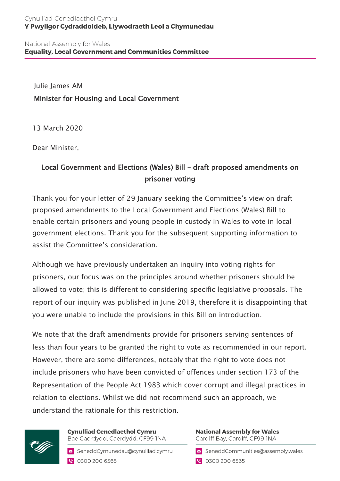Julie James AM Minister for Housing and Local Government

13 March 2020

Dear Minister,

## Local Government and Elections (Wales) Bill – draft proposed amendments on prisoner voting

Thank you for your letter of 29 January seeking the Committee's view on draft proposed amendments to the Local Government and Elections (Wales) Bill to enable certain prisoners and young people in custody in Wales to vote in local government elections. Thank you for the subsequent supporting information to assist the Committee's consideration.

Although we have previously undertaken an inquiry into voting rights for prisoners, our focus was on the principles around whether prisoners should be allowed to vote; this is different to considering specific legislative proposals. The report of our inquiry was published in June 2019, therefore it is disappointing that you were unable to include the provisions in this Bill on introduction.

We note that the draft amendments provide for prisoners serving sentences of less than four years to be granted the right to vote as recommended in our report. However, there are some differences, notably that the right to vote does not include prisoners who have been convicted of offences under section 173 of the Representation of the People Act 1983 which cover corrupt and illegal practices in relation to elections. Whilst we did not recommend such an approach, we understand the rationale for this restriction.



**Cynulliad Cenedlaethol Cymru** Bae Caerdydd, Caerdydd, CF99 INA

SeneddCymunedau@cynulliad.cymru ● 0300 200 6565

**National Assembly for Wales** Cardiff Bay, Cardiff, CF99 INA

SeneddCommunities@assembly.wales

● 0300 200 6565